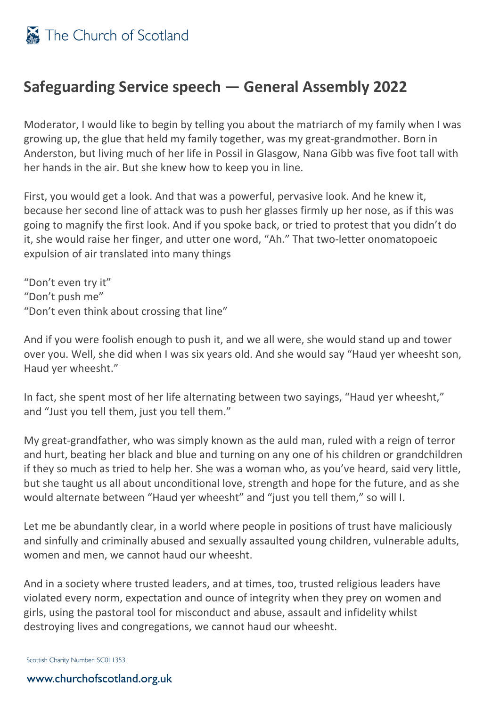## **Safeguarding Service speech — General Assembly 2022**

Moderator, I would like to begin by telling you about the matriarch of my family when I was growing up, the glue that held my family together, was my great-grandmother. Born in Anderston, but living much of her life in Possil in Glasgow, Nana Gibb was five foot tall with her hands in the air. But she knew how to keep you in line.

First, you would get a look. And that was a powerful, pervasive look. And he knew it, because her second line of attack was to push her glasses firmly up her nose, as if this was going to magnify the first look. And if you spoke back, or tried to protest that you didn't do it, she would raise her finger, and utter one word, "Ah." That two-letter onomatopoeic expulsion of air translated into many things

"Don't even try it" "Don't push me" "Don't even think about crossing that line"

And if you were foolish enough to push it, and we all were, she would stand up and tower over you. Well, she did when I was six years old. And she would say "Haud yer wheesht son, Haud yer wheesht."

In fact, she spent most of her life alternating between two sayings, "Haud yer wheesht," and "Just you tell them, just you tell them."

My great-grandfather, who was simply known as the auld man, ruled with a reign of terror and hurt, beating her black and blue and turning on any one of his children or grandchildren if they so much as tried to help her. She was a woman who, as you've heard, said very little, but she taught us all about unconditional love, strength and hope for the future, and as she would alternate between "Haud yer wheesht" and "just you tell them," so will I.

Let me be abundantly clear, in a world where people in positions of trust have maliciously and sinfully and criminally abused and sexually assaulted young children, vulnerable adults, women and men, we cannot haud our wheesht.

And in a society where trusted leaders, and at times, too, trusted religious leaders have violated every norm, expectation and ounce of integrity when they prey on women and girls, using the pastoral tool for misconduct and abuse, assault and infidelity whilst destroying lives and congregations, we cannot haud our wheesht.

Scottish Charity Number: SC011353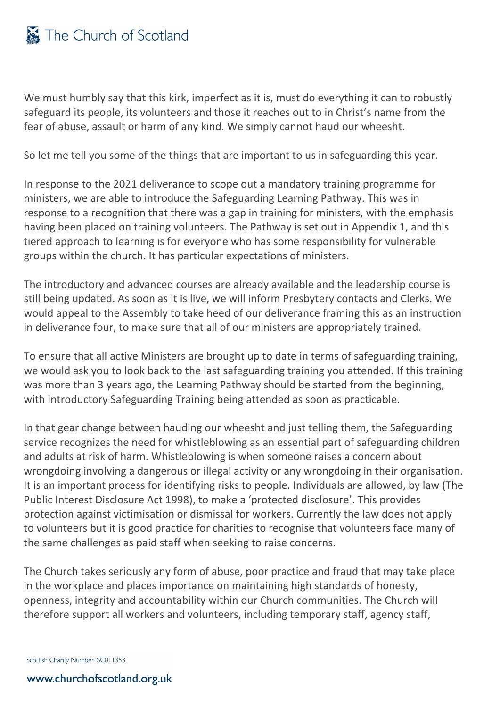

We must humbly say that this kirk, imperfect as it is, must do everything it can to robustly safeguard its people, its volunteers and those it reaches out to in Christ's name from the fear of abuse, assault or harm of any kind. We simply cannot haud our wheesht.

So let me tell you some of the things that are important to us in safeguarding this year.

In response to the 2021 deliverance to scope out a mandatory training programme for ministers, we are able to introduce the Safeguarding Learning Pathway. This was in response to a recognition that there was a gap in training for ministers, with the emphasis having been placed on training volunteers. The Pathway is set out in Appendix 1, and this tiered approach to learning is for everyone who has some responsibility for vulnerable groups within the church. It has particular expectations of ministers.

The introductory and advanced courses are already available and the leadership course is still being updated. As soon as it is live, we will inform Presbytery contacts and Clerks. We would appeal to the Assembly to take heed of our deliverance framing this as an instruction in deliverance four, to make sure that all of our ministers are appropriately trained.

To ensure that all active Ministers are brought up to date in terms of safeguarding training, we would ask you to look back to the last safeguarding training you attended. If this training was more than 3 years ago, the Learning Pathway should be started from the beginning, with Introductory Safeguarding Training being attended as soon as practicable.

In that gear change between hauding our wheesht and just telling them, the Safeguarding service recognizes the need for whistleblowing as an essential part of safeguarding children and adults at risk of harm. Whistleblowing is when someone raises a concern about wrongdoing involving a dangerous or illegal activity or any wrongdoing in their organisation. It is an important process for identifying risks to people. Individuals are allowed, by law (The Public Interest Disclosure Act 1998), to make a 'protected disclosure'. This provides protection against victimisation or dismissal for workers. Currently the law does not apply to volunteers but it is good practice for charities to recognise that volunteers face many of the same challenges as paid staff when seeking to raise concerns.

The Church takes seriously any form of abuse, poor practice and fraud that may take place in the workplace and places importance on maintaining high standards of honesty, openness, integrity and accountability within our Church communities. The Church will therefore support all workers and volunteers, including temporary staff, agency staff,

Scottish Charity Number: SC011353